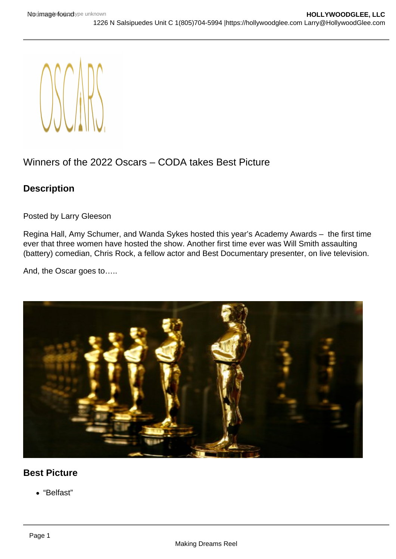# Winners of the 2022 Oscars – CODA takes Best Picture

**Description** 

Posted by Larry Gleeson

Regina Hall, Amy Schumer, and Wanda Sykes hosted this year's Academy Awards – the first time ever that three women have hosted the show. Another first time ever was Will Smith assaulting (battery) comedian, Chris Rock, a fellow actor and Best Documentary presenter, on live television.

And, the Oscar goes to…..

### Best Picture

"Belfast"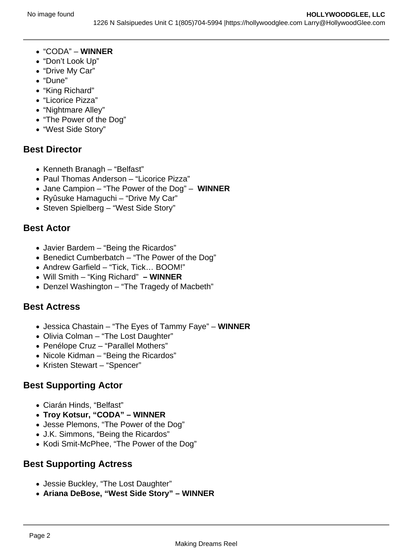- "CODA" **WINNER**
- "Don't Look Up"
- "Drive My Car"
- "Dune"
- "King Richard"
- "Licorice Pizza"
- "Nightmare Alley"
- "The Power of the Dog"
- "West Side Story"

#### **Best Director**

- Kenneth Branagh "Belfast"
- Paul Thomas Anderson "Licorice Pizza"
- Jane Campion "The Power of the Dog" **WINNER**
- Ryûsuke Hamaguchi "Drive My Car"
- Steven Spielberg "West Side Story"

#### **Best Actor**

- Javier Bardem "Being the Ricardos"
- Benedict Cumberbatch "The Power of the Dog"
- Andrew Garfield "Tick, Tick… BOOM!"
- Will Smith "King Richard"  **WINNER**
- Denzel Washington "The Tragedy of Macbeth"

#### **Best Actress**

- Jessica Chastain "The Eyes of Tammy Faye" **WINNER**
- Olivia Colman "The Lost Daughter"
- Penélope Cruz "Parallel Mothers"
- Nicole Kidman "Being the Ricardos"
- Kristen Stewart "Spencer"

#### **Best Supporting Actor**

- Ciarán Hinds, "Belfast"
- **Troy Kotsur, "CODA" WINNER**
- Jesse Plemons, "The Power of the Dog"
- J.K. Simmons, "Being the Ricardos"
- Kodi Smit-McPhee, "The Power of the Dog"

### **Best Supporting Actress**

- Jessie Buckley, "The Lost Daughter"
- **Ariana DeBose, "West Side Story" WINNER**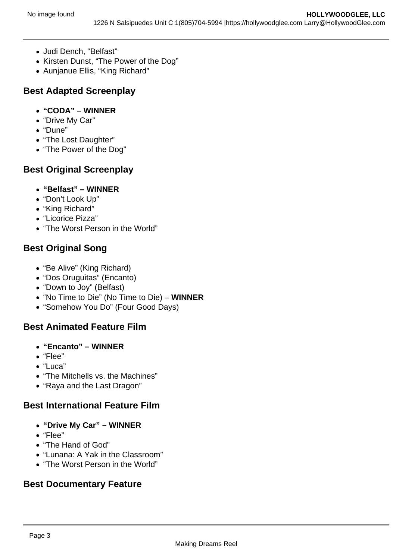- Judi Dench, "Belfast"
- Kirsten Dunst, "The Power of the Dog"
- Aunjanue Ellis, "King Richard"

#### **Best Adapted Screenplay**

- **"CODA" WINNER**
- "Drive My Car"
- "Dune"
- "The Lost Daughter"
- "The Power of the Dog"

# **Best Original Screenplay**

- **"Belfast" WINNER**
- "Don't Look Up"
- "King Richard"
- "Licorice Pizza"
- "The Worst Person in the World"

# **Best Original Song**

- "Be Alive" (King Richard)
- "Dos Oruguitas" (Encanto)
- "Down to Joy" (Belfast)
- "No Time to Die" (No Time to Die) **WINNER**
- "Somehow You Do" (Four Good Days)

### **Best Animated Feature Film**

- **"Encanto" WINNER**
- "Flee"
- "Luca"
- "The Mitchells vs. the Machines"
- "Raya and the Last Dragon"

### **Best International Feature Film**

- **"Drive My Car" WINNER**
- "Flee"
- "The Hand of God"
- "Lunana: A Yak in the Classroom"
- "The Worst Person in the World"

### **Best Documentary Feature**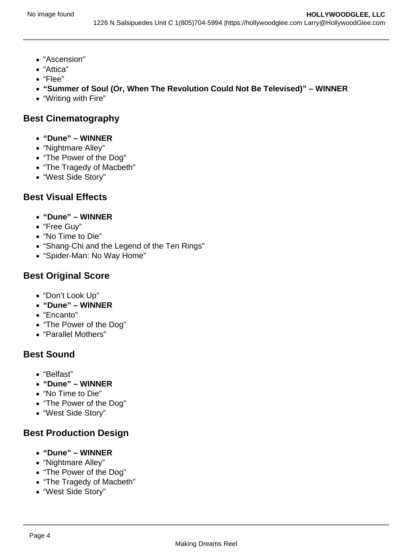- "Ascension"
- "Attica"
- "Flee"
- **"Summer of Soul (Or, When The Revolution Could Not Be Televised)" WINNER**
- "Writing with Fire"

# **Best Cinematography**

- **"Dune" WINNER**
- "Nightmare Alley"
- "The Power of the Dog"
- "The Tragedy of Macbeth"
- "West Side Story"

### **Best Visual Effects**

- **"Dune" WINNER**
- "Free Guy"
- "No Time to Die"
- "Shang-Chi and the Legend of the Ten Rings"
- "Spider-Man: No Way Home"

# **Best Original Score**

- "Don't Look Up"
- **"Dune" WINNER**
- "Encanto"
- "The Power of the Dog"
- "Parallel Mothers"

### **Best Sound**

- "Belfast"
- **"Dune" WINNER**
- "No Time to Die"
- "The Power of the Dog"
- "West Side Story"

### **Best Production Design**

- **"Dune" WINNER**
- "Nightmare Alley"
- "The Power of the Dog"
- "The Tragedy of Macbeth"
- "West Side Story"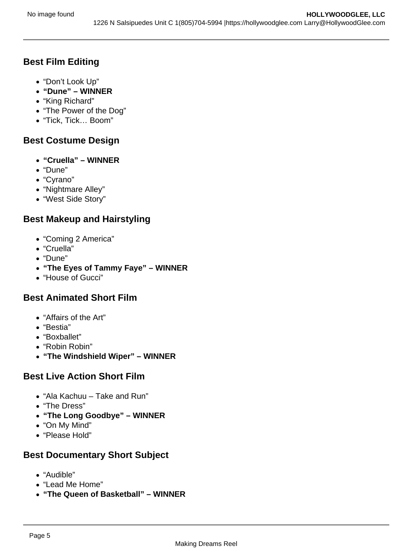# **Best Film Editing**

- "Don't Look Up"
- **"Dune" WINNER**
- "King Richard"
- "The Power of the Dog"
- "Tick, Tick… Boom"

# **Best Costume Design**

- **"Cruella" WINNER**
- "Dune"
- "Cyrano"
- "Nightmare Alley"
- "West Side Story"

# **Best Makeup and Hairstyling**

- "Coming 2 America"
- "Cruella"
- "Dune"
- **"The Eyes of Tammy Faye" WINNER**
- "House of Gucci"

# **Best Animated Short Film**

- "Affairs of the Art"
- "Bestia"
- "Boxballet"
- "Robin Robin"
- **"The Windshield Wiper" WINNER**

### **Best Live Action Short Film**

- "Ala Kachuu Take and Run"
- "The Dress"
- **"The Long Goodbye" WINNER**
- "On My Mind"
- "Please Hold"

# **Best Documentary Short Subject**

- "Audible"
- "Lead Me Home"
- **"The Queen of Basketball" WINNER**